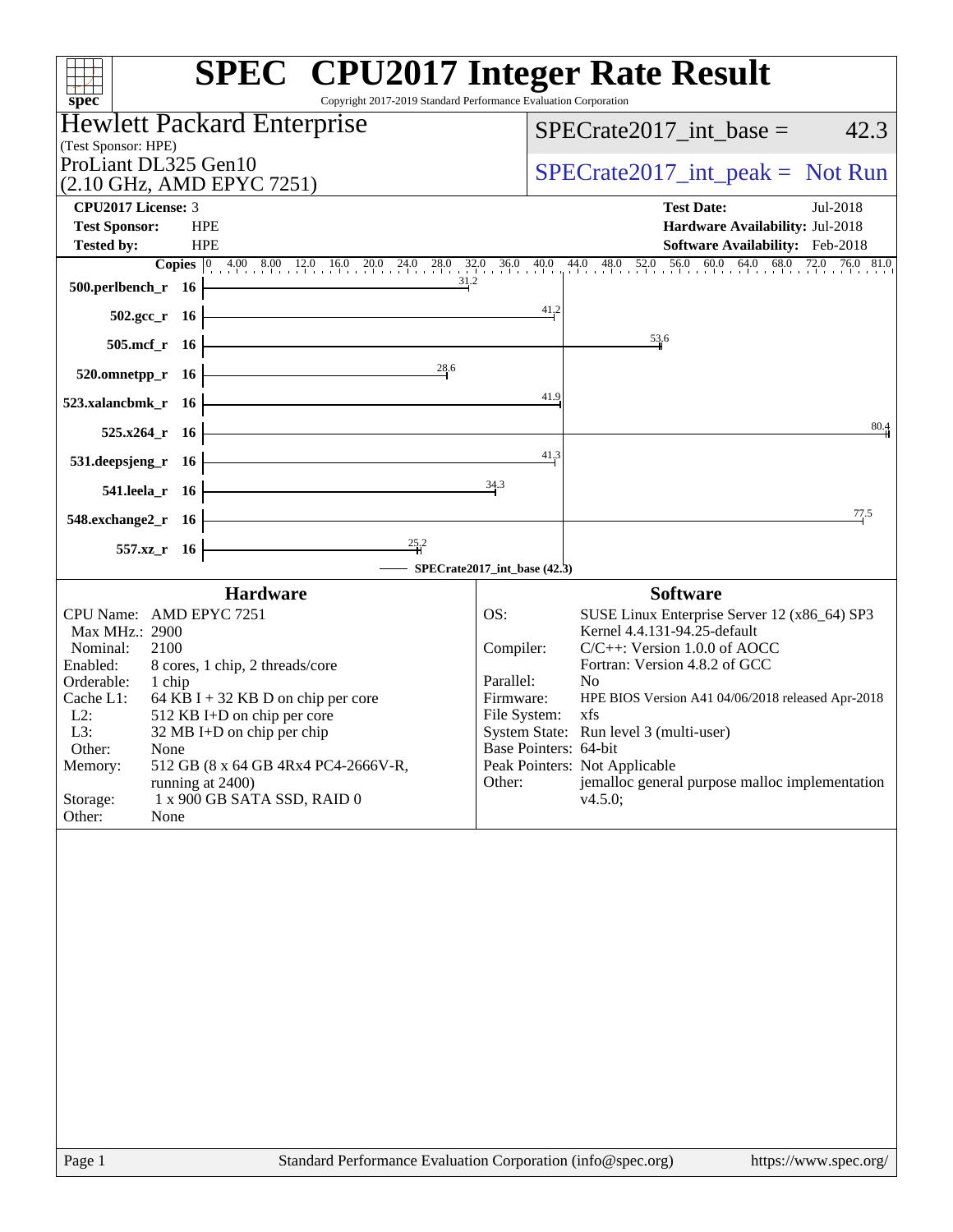| <b>SPEC<sup>®</sup></b> CPU2017 Integer Rate Result<br>Copyright 2017-2019 Standard Performance Evaluation Corporation<br>spec <sup>®</sup> |                                |                                                                                 |
|---------------------------------------------------------------------------------------------------------------------------------------------|--------------------------------|---------------------------------------------------------------------------------|
| Hewlett Packard Enterprise                                                                                                                  |                                | $SPECrate2017\_int\_base =$<br>42.3                                             |
| (Test Sponsor: HPE)                                                                                                                         |                                |                                                                                 |
| ProLiant DL325 Gen10<br>(2.10 GHz, AMD EPYC 7251)                                                                                           |                                | $SPECrate2017\_int\_peak = Not Run$                                             |
| <b>CPU2017 License: 3</b>                                                                                                                   |                                | <b>Test Date:</b><br>Jul-2018                                                   |
| <b>Test Sponsor:</b><br><b>HPE</b>                                                                                                          |                                | Hardware Availability: Jul-2018                                                 |
| <b>Tested by:</b><br><b>HPE</b>                                                                                                             |                                | Software Availability: Feb-2018                                                 |
| 31.2<br>500.perlbench_r 16                                                                                                                  |                                |                                                                                 |
|                                                                                                                                             | $\frac{41}{2}$                 |                                                                                 |
| $502.\text{gcc}_r$ 16                                                                                                                       |                                | $\frac{53}{4}6$                                                                 |
| 505.mcf_r 16<br>28.6                                                                                                                        |                                |                                                                                 |
| $520.0$ mnetpp_r 16                                                                                                                         |                                |                                                                                 |
| 523.xalancbmk r 16                                                                                                                          | 41.9                           |                                                                                 |
| 525.x264_r 16                                                                                                                               |                                | 80.4                                                                            |
| 531.deepsjeng_r 16                                                                                                                          | 41,3                           |                                                                                 |
| 541.leela_r 16                                                                                                                              | 34.3                           |                                                                                 |
| 548.exchange2_r 16                                                                                                                          |                                | 77.5                                                                            |
| $\frac{25}{4}$ <sup>2</sup><br>557.xz_r 16                                                                                                  |                                |                                                                                 |
|                                                                                                                                             | - SPECrate2017_int_base (42.3) |                                                                                 |
| <b>Hardware</b>                                                                                                                             |                                | <b>Software</b>                                                                 |
| CPU Name: AMD EPYC 7251<br>Max MHz.: 2900                                                                                                   | OS:                            | SUSE Linux Enterprise Server 12 (x86_64) SP3<br>Kernel 4.4.131-94.25-default    |
| Nominal:<br>2100                                                                                                                            | Compiler:                      | $C/C++$ : Version 1.0.0 of AOCC                                                 |
| Enabled:<br>8 cores, 1 chip, 2 threads/core                                                                                                 | Parallel:                      | Fortran: Version 4.8.2 of GCC<br>N <sub>o</sub>                                 |
| Orderable:<br>1 chip<br>Cache L1:<br>64 KB I + 32 KB D on chip per core                                                                     | Firmware:                      | HPE BIOS Version A41 04/06/2018 released Apr-2018                               |
| $L2$ :<br>512 KB I+D on chip per core                                                                                                       | File System:                   | xfs                                                                             |
| L3:<br>32 MB I+D on chip per chip                                                                                                           |                                | System State: Run level 3 (multi-user)                                          |
| Other:<br>None                                                                                                                              | Base Pointers: 64-bit          |                                                                                 |
| 512 GB (8 x 64 GB 4Rx4 PC4-2666V-R,<br>Memory:<br>running at 2400)                                                                          | Other:                         | Peak Pointers: Not Applicable<br>jemalloc general purpose malloc implementation |
| 1 x 900 GB SATA SSD, RAID 0<br>Storage:<br>Other:<br>None                                                                                   |                                | v4.5.0                                                                          |
|                                                                                                                                             |                                |                                                                                 |
| $D_{0}$ on 1<br>Standard Darformance Evaluation Corporation (info@spec.org)                                                                 |                                | http://www.600                                                                  |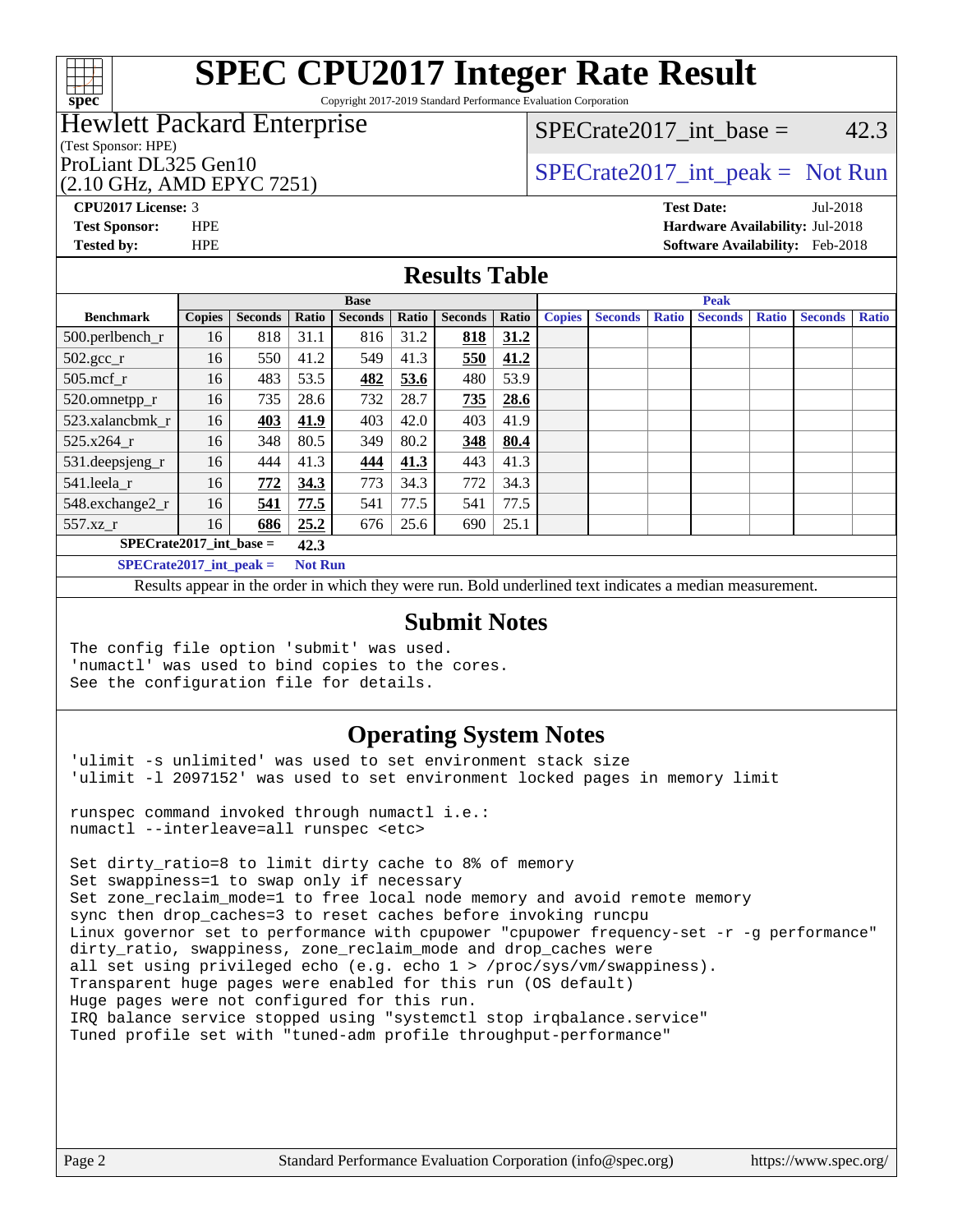

Copyright 2017-2019 Standard Performance Evaluation Corporation

## Hewlett Packard Enterprise

### (Test Sponsor: HPE)

## (2.10 GHz, AMD EPYC 7251)

## $SPECTate2017\_int\_base = 42.3$

## ProLiant DL325 Gen10  $SPECTR = 10$   $SPECTR = 2017$  int peak = Not Run

**[CPU2017 License:](http://www.spec.org/auto/cpu2017/Docs/result-fields.html#CPU2017License)** 3 **[Test Date:](http://www.spec.org/auto/cpu2017/Docs/result-fields.html#TestDate)** Jul-2018 **[Test Sponsor:](http://www.spec.org/auto/cpu2017/Docs/result-fields.html#TestSponsor)** HPE **[Hardware Availability:](http://www.spec.org/auto/cpu2017/Docs/result-fields.html#HardwareAvailability)** Jul-2018 **[Tested by:](http://www.spec.org/auto/cpu2017/Docs/result-fields.html#Testedby)** HPE **[Software Availability:](http://www.spec.org/auto/cpu2017/Docs/result-fields.html#SoftwareAvailability)** Feb-2018

## **[Results Table](http://www.spec.org/auto/cpu2017/Docs/result-fields.html#ResultsTable)**

| <b>Base</b>                   |               |                |       |                |       |                | <b>Peak</b> |               |                |              |                |              |                |              |
|-------------------------------|---------------|----------------|-------|----------------|-------|----------------|-------------|---------------|----------------|--------------|----------------|--------------|----------------|--------------|
| <b>Benchmark</b>              | <b>Copies</b> | <b>Seconds</b> | Ratio | <b>Seconds</b> | Ratio | <b>Seconds</b> | Ratio       | <b>Copies</b> | <b>Seconds</b> | <b>Ratio</b> | <b>Seconds</b> | <b>Ratio</b> | <b>Seconds</b> | <b>Ratio</b> |
| 500.perlbench_r               | 16            | 818            | 31.1  | 816            | 31.2  | 818            | 31.2        |               |                |              |                |              |                |              |
| $502.\text{sec}$ <sub>r</sub> | 16            | 550            | 41.2  | 549            | 41.3  | 550            | 41.2        |               |                |              |                |              |                |              |
| $505$ .mcf r                  | 16            | 483            | 53.5  | 482            | 53.6  | 480            | 53.9        |               |                |              |                |              |                |              |
| 520.omnetpp_r                 | 16            | 735            | 28.6  | 732            | 28.7  | 735            | 28.6        |               |                |              |                |              |                |              |
| 523.xalancbmk r               | 16            | 403            | 41.9  | 403            | 42.0  | 403            | 41.9        |               |                |              |                |              |                |              |
| 525.x264 r                    | 16            | 348            | 80.5  | 349            | 80.2  | 348            | 80.4        |               |                |              |                |              |                |              |
| 531.deepsjeng_r               | 16            | 444            | 41.3  | 444            | 41.3  | 443            | 41.3        |               |                |              |                |              |                |              |
| 541.leela_r                   | 16            | 772            | 34.3  | 773            | 34.3  | 772            | 34.3        |               |                |              |                |              |                |              |
| 548.exchange2_r               | 16            | 541            | 77.5  | 541            | 77.5  | 541            | 77.5        |               |                |              |                |              |                |              |
| 557.xz r                      | 16            | 686            | 25.2  | 676            | 25.6  | 690            | 25.1        |               |                |              |                |              |                |              |
| $SPECrate2017$ int base =     |               | 42.3           |       |                |       |                |             |               |                |              |                |              |                |              |
| $SPECrate2017$ int neak =     |               | <b>Not Run</b> |       |                |       |                |             |               |                |              |                |              |                |              |

**[SPECrate2017\\_int\\_peak =](http://www.spec.org/auto/cpu2017/Docs/result-fields.html#SPECrate2017intpeak) Not Run**

Results appear in the [order in which they were run](http://www.spec.org/auto/cpu2017/Docs/result-fields.html#RunOrder). Bold underlined text [indicates a median measurement](http://www.spec.org/auto/cpu2017/Docs/result-fields.html#Median).

## **[Submit Notes](http://www.spec.org/auto/cpu2017/Docs/result-fields.html#SubmitNotes)**

The config file option 'submit' was used. 'numactl' was used to bind copies to the cores. See the configuration file for details.

## **[Operating System Notes](http://www.spec.org/auto/cpu2017/Docs/result-fields.html#OperatingSystemNotes)**

'ulimit -s unlimited' was used to set environment stack size 'ulimit -l 2097152' was used to set environment locked pages in memory limit

runspec command invoked through numactl i.e.: numactl --interleave=all runspec <etc>

Set dirty\_ratio=8 to limit dirty cache to 8% of memory Set swappiness=1 to swap only if necessary Set zone\_reclaim\_mode=1 to free local node memory and avoid remote memory sync then drop\_caches=3 to reset caches before invoking runcpu Linux governor set to performance with cpupower "cpupower frequency-set  $-r$  -g performance" dirty\_ratio, swappiness, zone\_reclaim\_mode and drop\_caches were all set using privileged echo (e.g. echo 1 > /proc/sys/vm/swappiness). Transparent huge pages were enabled for this run (OS default) Huge pages were not configured for this run. IRQ balance service stopped using "systemctl stop irqbalance.service" Tuned profile set with "tuned-adm profile throughput-performance"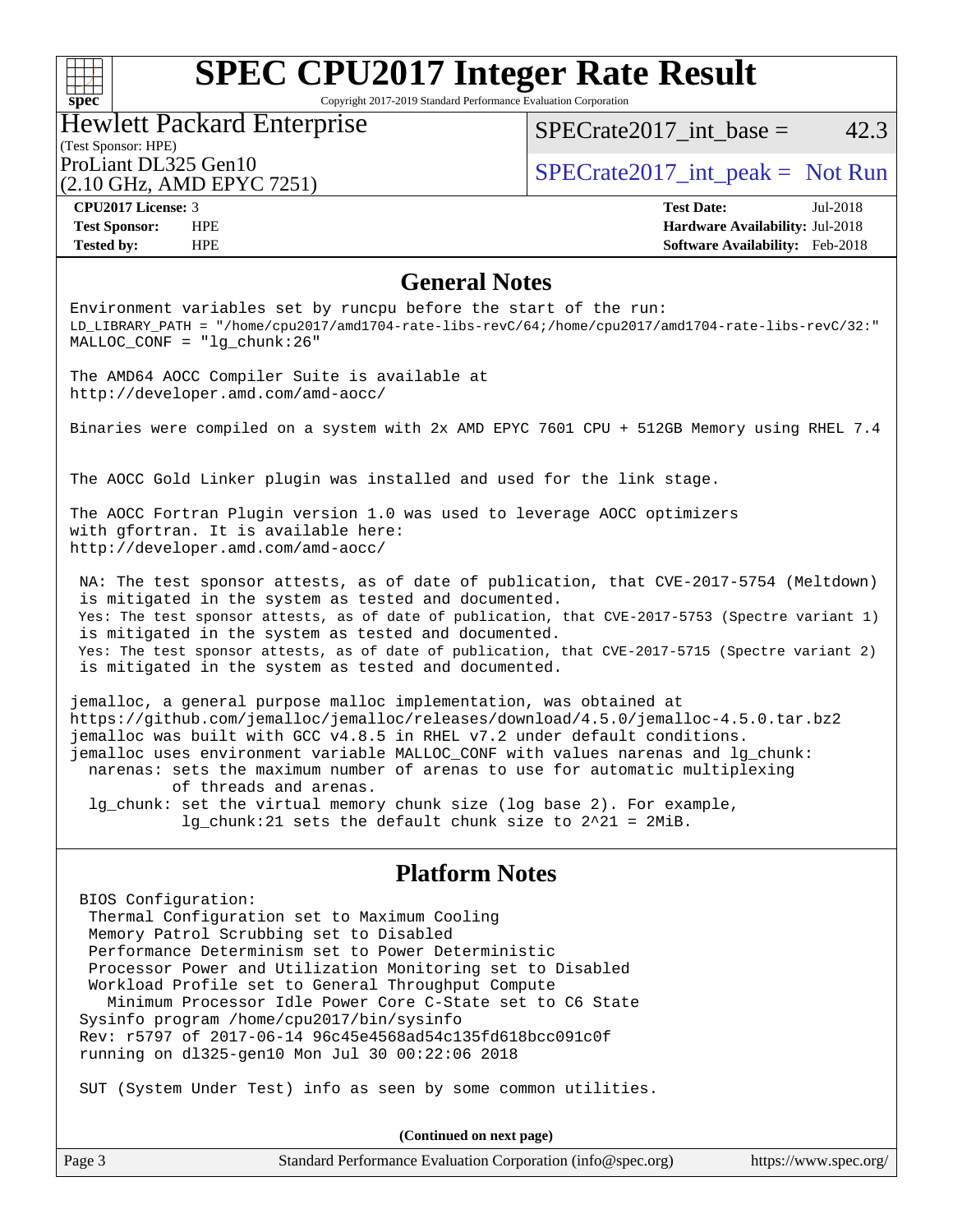

Copyright 2017-2019 Standard Performance Evaluation Corporation

## (Test Sponsor: HPE) Hewlett Packard Enterprise (2.10 GHz, AMD EPYC 7251)

SPECrate  $2017$  int base = 42.3

ProLiant DL325 Gen10  $SPECTA 2017$ \_int\_peak = Not Run

**[CPU2017 License:](http://www.spec.org/auto/cpu2017/Docs/result-fields.html#CPU2017License)** 3 **[Test Date:](http://www.spec.org/auto/cpu2017/Docs/result-fields.html#TestDate)** Jul-2018 **[Test Sponsor:](http://www.spec.org/auto/cpu2017/Docs/result-fields.html#TestSponsor)** HPE **[Hardware Availability:](http://www.spec.org/auto/cpu2017/Docs/result-fields.html#HardwareAvailability)** Jul-2018 **[Tested by:](http://www.spec.org/auto/cpu2017/Docs/result-fields.html#Testedby)** HPE **[Software Availability:](http://www.spec.org/auto/cpu2017/Docs/result-fields.html#SoftwareAvailability)** Feb-2018

## **[General Notes](http://www.spec.org/auto/cpu2017/Docs/result-fields.html#GeneralNotes)**

Environment variables set by runcpu before the start of the run: LD\_LIBRARY\_PATH = "/home/cpu2017/amd1704-rate-libs-revC/64;/home/cpu2017/amd1704-rate-libs-revC/32:" MALLOC\_CONF = "lg\_chunk:26"

The AMD64 AOCC Compiler Suite is available at <http://developer.amd.com/amd-aocc/>

Binaries were compiled on a system with 2x AMD EPYC 7601 CPU + 512GB Memory using RHEL 7.4

The AOCC Gold Linker plugin was installed and used for the link stage.

The AOCC Fortran Plugin version 1.0 was used to leverage AOCC optimizers with gfortran. It is available here: <http://developer.amd.com/amd-aocc/>

 NA: The test sponsor attests, as of date of publication, that CVE-2017-5754 (Meltdown) is mitigated in the system as tested and documented. Yes: The test sponsor attests, as of date of publication, that CVE-2017-5753 (Spectre variant 1) is mitigated in the system as tested and documented. Yes: The test sponsor attests, as of date of publication, that CVE-2017-5715 (Spectre variant 2) is mitigated in the system as tested and documented.

jemalloc, a general purpose malloc implementation, was obtained at <https://github.com/jemalloc/jemalloc/releases/download/4.5.0/jemalloc-4.5.0.tar.bz2> jemalloc was built with GCC v4.8.5 in RHEL v7.2 under default conditions. jemalloc uses environment variable MALLOC\_CONF with values narenas and lg\_chunk: narenas: sets the maximum number of arenas to use for automatic multiplexing of threads and arenas. lg\_chunk: set the virtual memory chunk size (log base 2). For example, lg\_chunk:21 sets the default chunk size to 2^21 = 2MiB.

## **[Platform Notes](http://www.spec.org/auto/cpu2017/Docs/result-fields.html#PlatformNotes)**

 BIOS Configuration: Thermal Configuration set to Maximum Cooling Memory Patrol Scrubbing set to Disabled Performance Determinism set to Power Deterministic Processor Power and Utilization Monitoring set to Disabled Workload Profile set to General Throughput Compute Minimum Processor Idle Power Core C-State set to C6 State Sysinfo program /home/cpu2017/bin/sysinfo Rev: r5797 of 2017-06-14 96c45e4568ad54c135fd618bcc091c0f running on dl325-gen10 Mon Jul 30 00:22:06 2018

SUT (System Under Test) info as seen by some common utilities.

**(Continued on next page)**

| Page 3 | Standard Performance Evaluation Corporation (info@spec.org) | https://www.spec.org/ |
|--------|-------------------------------------------------------------|-----------------------|
|--------|-------------------------------------------------------------|-----------------------|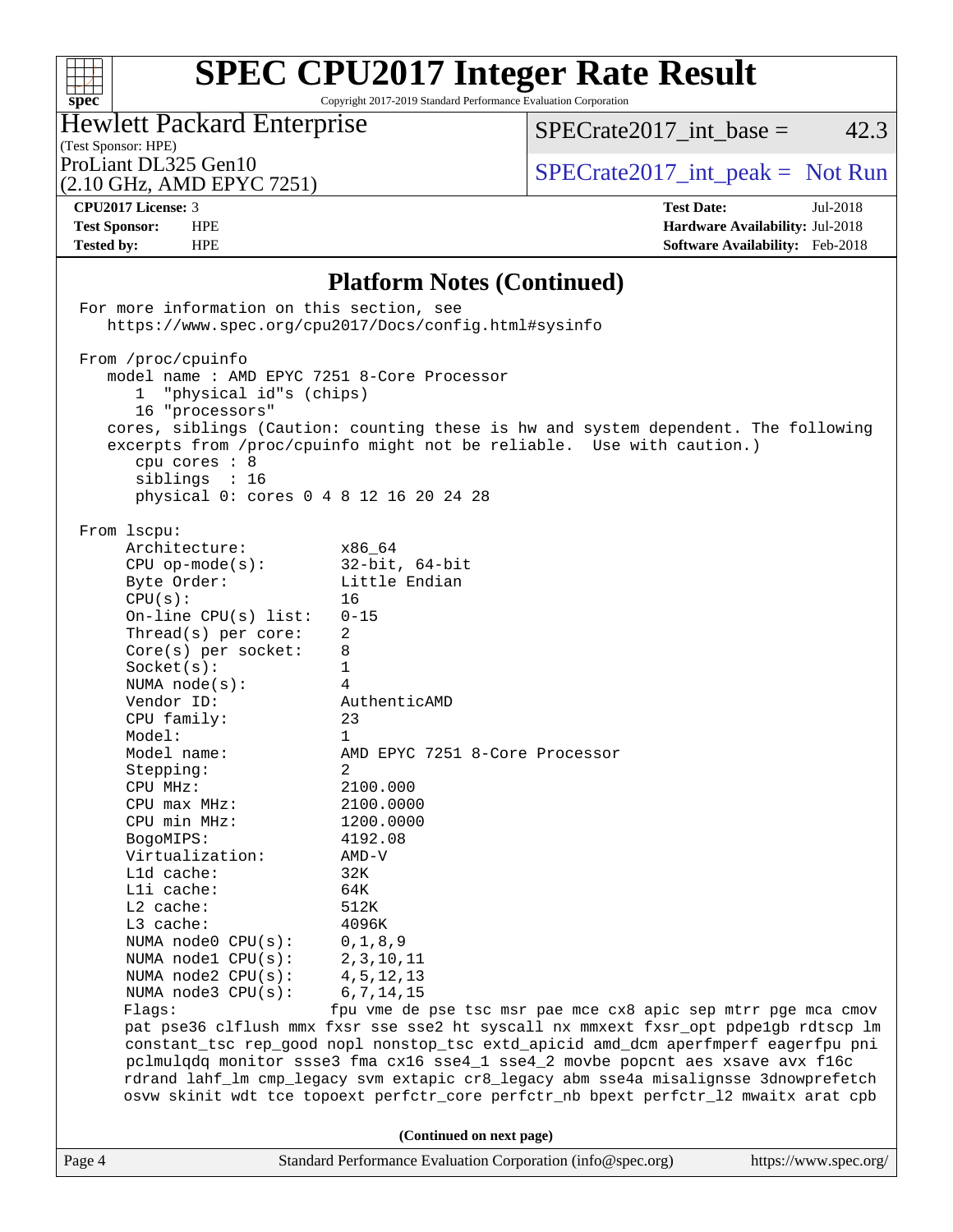

Copyright 2017-2019 Standard Performance Evaluation Corporation

## Hewlett Packard Enterprise

 $SPECTate2017\_int\_base = 42.3$ 

(Test Sponsor: HPE)<br>ProLiant DL325 Gen10

(2.10 GHz, AMD EPYC 7251)

 $SPECTate2017\_int\_peak = Not Run$ 

**[CPU2017 License:](http://www.spec.org/auto/cpu2017/Docs/result-fields.html#CPU2017License)** 3 **[Test Date:](http://www.spec.org/auto/cpu2017/Docs/result-fields.html#TestDate)** Jul-2018 **[Test Sponsor:](http://www.spec.org/auto/cpu2017/Docs/result-fields.html#TestSponsor)** HPE **[Hardware Availability:](http://www.spec.org/auto/cpu2017/Docs/result-fields.html#HardwareAvailability)** Jul-2018 **[Tested by:](http://www.spec.org/auto/cpu2017/Docs/result-fields.html#Testedby)** HPE **[Software Availability:](http://www.spec.org/auto/cpu2017/Docs/result-fields.html#SoftwareAvailability)** Feb-2018

## **[Platform Notes \(Continued\)](http://www.spec.org/auto/cpu2017/Docs/result-fields.html#PlatformNotes)**

|        | For more information on this section, see                                                                                                                                                                                                                                                                                                                                                                                                                                                                                                                | https://www.spec.org/cpu2017/Docs/config.html#sysinfo                                                                                                                                                                                                                                                                                                                                                                                                                                                                                                                                                                                                                              |                       |
|--------|----------------------------------------------------------------------------------------------------------------------------------------------------------------------------------------------------------------------------------------------------------------------------------------------------------------------------------------------------------------------------------------------------------------------------------------------------------------------------------------------------------------------------------------------------------|------------------------------------------------------------------------------------------------------------------------------------------------------------------------------------------------------------------------------------------------------------------------------------------------------------------------------------------------------------------------------------------------------------------------------------------------------------------------------------------------------------------------------------------------------------------------------------------------------------------------------------------------------------------------------------|-----------------------|
|        | From /proc/cpuinfo<br>model name : AMD EPYC 7251 8-Core Processor<br>"physical id"s (chips)<br>$\mathbf{1}$<br>16 "processors"<br>cpu cores : 8<br>siblings : 16<br>physical 0: cores 0 4 8 12 16 20 24 28                                                                                                                                                                                                                                                                                                                                               | cores, siblings (Caution: counting these is hw and system dependent. The following<br>excerpts from /proc/cpuinfo might not be reliable. Use with caution.)                                                                                                                                                                                                                                                                                                                                                                                                                                                                                                                        |                       |
|        | From 1scpu:<br>Architecture:<br>$x86\_64$<br>CPU op-mode(s): $32-bit, 64-bit$<br>Byte Order:<br>CPU(s):<br>On-line CPU(s) list: $0-15$<br>$Thread(s)$ per core:<br>$Core(s)$ per socket:<br>Socket(s):<br>NUMA $node(s):$<br>Vendor ID:<br>CPU family:<br>Model:<br>Model name:<br>Stepping:<br>CPU MHz:<br>$CPU$ $max$ $MHz$ :<br>CPU min MHz:<br>BogoMIPS:<br>Virtualization:<br>L1d cache:<br>Lli cache:<br>$L2$ cache:<br>L3 cache:<br>NUMA node0 $CPU(s):$ 0,1,8,9<br>NUMA nodel CPU(s):<br>NUMA $node2$ $CPU(s)$ :<br>NUMA node3 CPU(s):<br>Flags: | Little Endian<br>16<br>2<br>8<br>1<br>4<br>AuthenticAMD<br>23<br>$\mathbf{1}$<br>AMD EPYC 7251 8-Core Processor<br>2<br>2100.000<br>2100.0000<br>1200.0000<br>4192.08<br>AMD-V<br>32K<br>64K<br>512K<br>4096K<br>2, 3, 10, 11<br>4,5,12,13<br>6, 7, 14, 15<br>fpu vme de pse tsc msr pae mce cx8 apic sep mtrr pge mca cmov<br>pat pse36 clflush mmx fxsr sse sse2 ht syscall nx mmxext fxsr_opt pdpe1gb rdtscp lm<br>constant_tsc rep_good nopl nonstop_tsc extd_apicid amd_dcm aperfmperf eagerfpu pni<br>pclmulqdq monitor ssse3 fma cx16 sse4_1 sse4_2 movbe popcnt aes xsave avx f16c<br>rdrand lahf_lm cmp_legacy svm extapic cr8_legacy abm sse4a misalignsse 3dnowprefetch |                       |
|        |                                                                                                                                                                                                                                                                                                                                                                                                                                                                                                                                                          | osvw skinit wdt tce topoext perfctr_core perfctr_nb bpext perfctr_12 mwaitx arat cpb<br>(Continued on next page)                                                                                                                                                                                                                                                                                                                                                                                                                                                                                                                                                                   |                       |
| Page 4 |                                                                                                                                                                                                                                                                                                                                                                                                                                                                                                                                                          | Standard Performance Evaluation Corporation (info@spec.org)                                                                                                                                                                                                                                                                                                                                                                                                                                                                                                                                                                                                                        | https://www.spec.org/ |
|        |                                                                                                                                                                                                                                                                                                                                                                                                                                                                                                                                                          |                                                                                                                                                                                                                                                                                                                                                                                                                                                                                                                                                                                                                                                                                    |                       |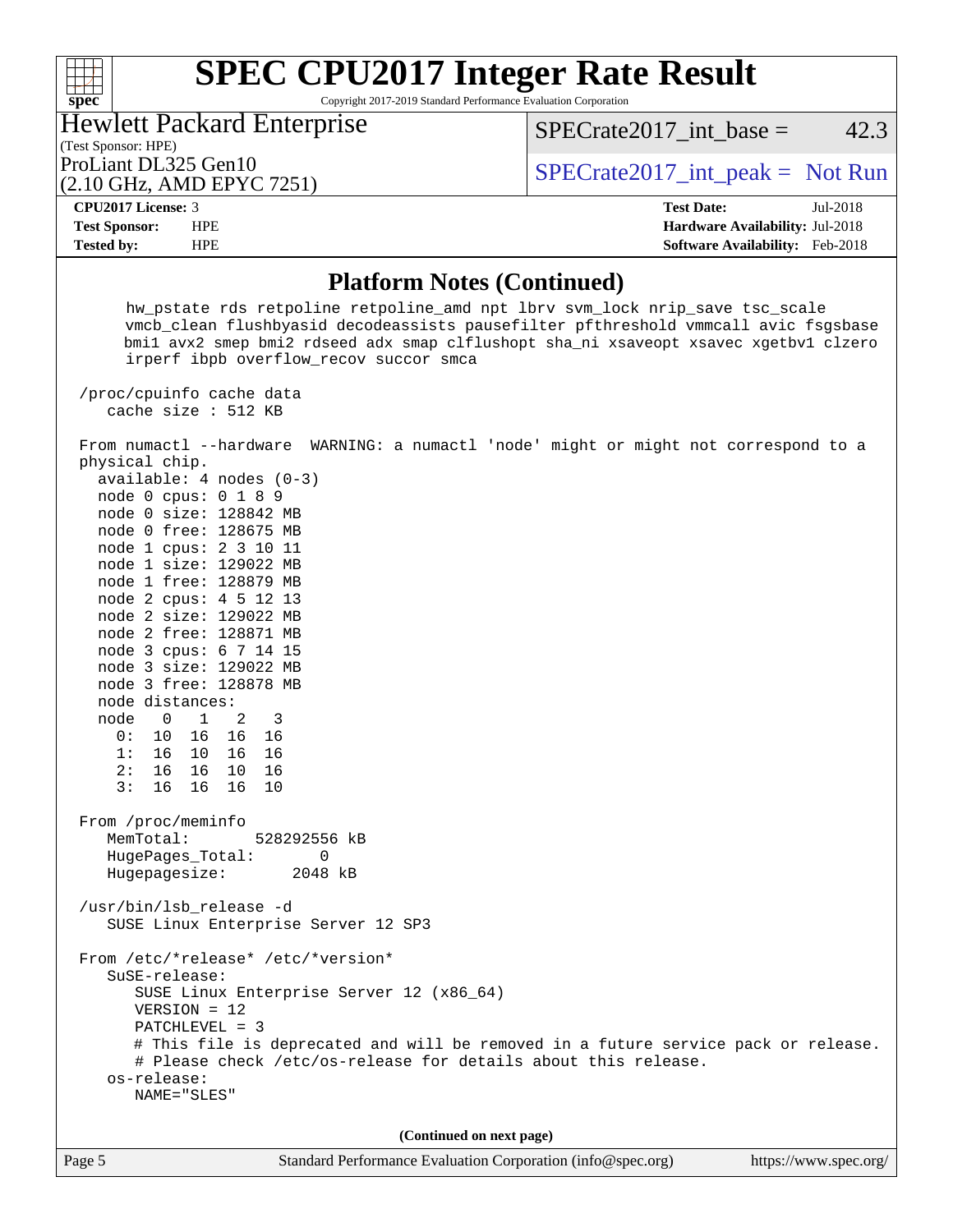## $+\ +$ **[spec](http://www.spec.org/)**

# **[SPEC CPU2017 Integer Rate Result](http://www.spec.org/auto/cpu2017/Docs/result-fields.html#SPECCPU2017IntegerRateResult)**

Copyright 2017-2019 Standard Performance Evaluation Corporation

## (Test Sponsor: HPE) Hewlett Packard Enterprise

 $SPECTate2017\_int\_base = 42.3$ 

## (2.10 GHz, AMD EPYC 7251)

ProLiant DL325 Gen10  $SPECTR = 10$   $SPECTR = 2017$  int peak = Not Run

**[Tested by:](http://www.spec.org/auto/cpu2017/Docs/result-fields.html#Testedby)** HPE **[Software Availability:](http://www.spec.org/auto/cpu2017/Docs/result-fields.html#SoftwareAvailability)** Feb-2018

**[CPU2017 License:](http://www.spec.org/auto/cpu2017/Docs/result-fields.html#CPU2017License)** 3 **[Test Date:](http://www.spec.org/auto/cpu2017/Docs/result-fields.html#TestDate)** Jul-2018 **[Test Sponsor:](http://www.spec.org/auto/cpu2017/Docs/result-fields.html#TestSponsor)** HPE **[Hardware Availability:](http://www.spec.org/auto/cpu2017/Docs/result-fields.html#HardwareAvailability)** Jul-2018

## **[Platform Notes \(Continued\)](http://www.spec.org/auto/cpu2017/Docs/result-fields.html#PlatformNotes)**

 hw\_pstate rds retpoline retpoline\_amd npt lbrv svm\_lock nrip\_save tsc\_scale vmcb\_clean flushbyasid decodeassists pausefilter pfthreshold vmmcall avic fsgsbase bmi1 avx2 smep bmi2 rdseed adx smap clflushopt sha\_ni xsaveopt xsavec xgetbv1 clzero irperf ibpb overflow\_recov succor smca

 /proc/cpuinfo cache data cache size : 512 KB

 From numactl --hardware WARNING: a numactl 'node' might or might not correspond to a physical chip. available: 4 nodes (0-3)

 node 0 cpus: 0 1 8 9 node 0 size: 128842 MB node 0 free: 128675 MB node 1 cpus: 2 3 10 11 node 1 size: 129022 MB node 1 free: 128879 MB node 2 cpus: 4 5 12 13 node 2 size: 129022 MB node 2 free: 128871 MB node 3 cpus: 6 7 14 15 node 3 size: 129022 MB node 3 free: 128878 MB node distances: node 0 1 2 3 0: 10 16 16 16 1: 16 10 16 16 2: 16 16 10 16 3: 16 16 16 10

 From /proc/meminfo MemTotal: 528292556 kB HugePages\_Total: 0 Hugepagesize: 2048 kB

 /usr/bin/lsb\_release -d SUSE Linux Enterprise Server 12 SP3

 From /etc/\*release\* /etc/\*version\* SuSE-release:

 SUSE Linux Enterprise Server 12 (x86\_64) VERSION = 12

PATCHLEVEL = 3

```
 # This file is deprecated and will be removed in a future service pack or release.
 # Please check /etc/os-release for details about this release.
```
 os-release: NAME="SLES"

**(Continued on next page)**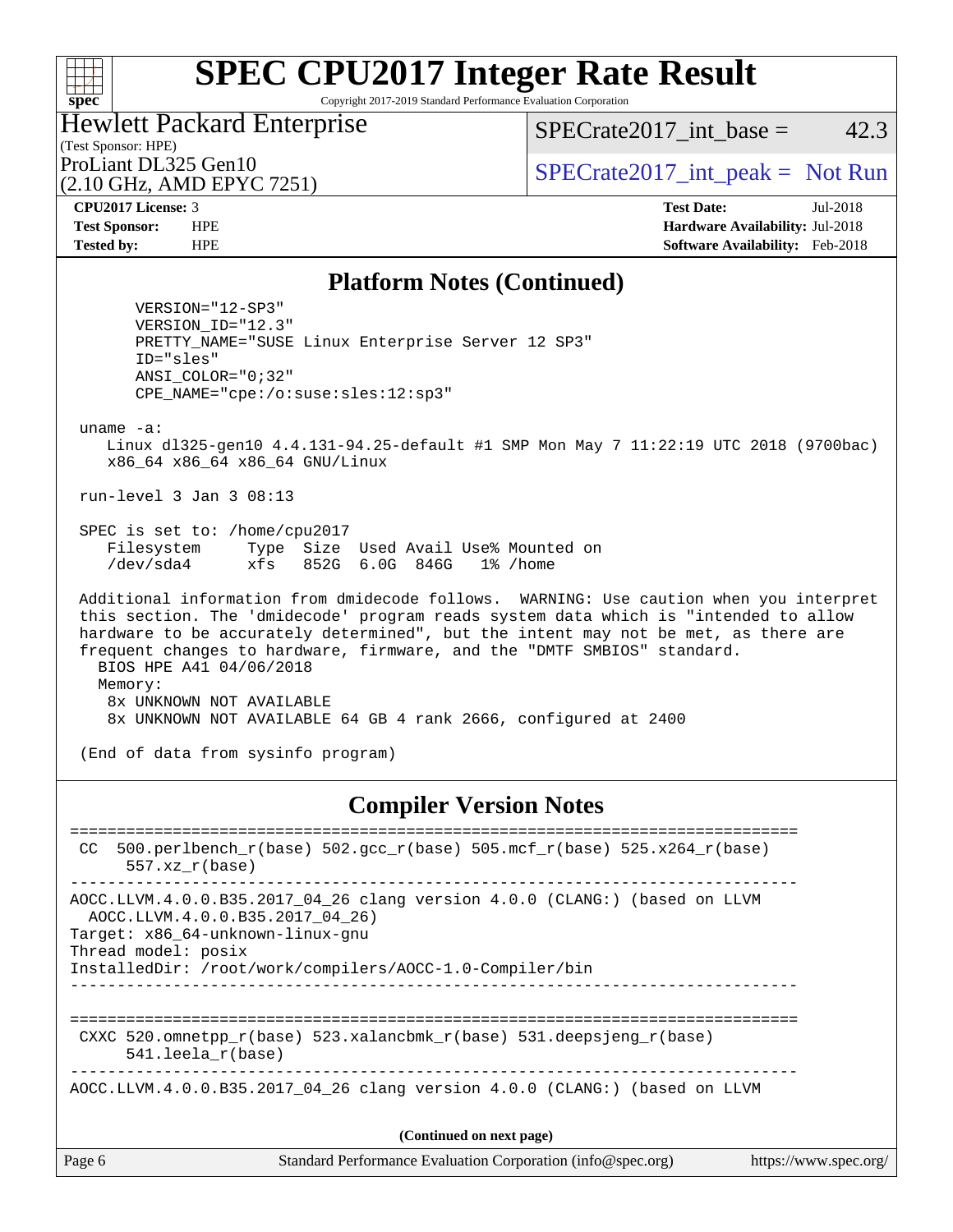## $+\!\!+\!\!$ **[spec](http://www.spec.org/)**

# **[SPEC CPU2017 Integer Rate Result](http://www.spec.org/auto/cpu2017/Docs/result-fields.html#SPECCPU2017IntegerRateResult)**

Copyright 2017-2019 Standard Performance Evaluation Corporation

### (Test Sponsor: HPE) Hewlett Packard Enterprise

(2.10 GHz, AMD EPYC 7251)

 $SPECTate2017\_int\_base = 42.3$ 

ProLiant DL325 Gen10  $SPECTR = 2017$ \_int\_peak = Not Run

**[CPU2017 License:](http://www.spec.org/auto/cpu2017/Docs/result-fields.html#CPU2017License)** 3 **[Test Date:](http://www.spec.org/auto/cpu2017/Docs/result-fields.html#TestDate)** Jul-2018 **[Test Sponsor:](http://www.spec.org/auto/cpu2017/Docs/result-fields.html#TestSponsor)** HPE **[Hardware Availability:](http://www.spec.org/auto/cpu2017/Docs/result-fields.html#HardwareAvailability)** Jul-2018 **[Tested by:](http://www.spec.org/auto/cpu2017/Docs/result-fields.html#Testedby)** HPE **[Software Availability:](http://www.spec.org/auto/cpu2017/Docs/result-fields.html#SoftwareAvailability)** Feb-2018

## **[Platform Notes \(Continued\)](http://www.spec.org/auto/cpu2017/Docs/result-fields.html#PlatformNotes)**

 VERSION="12-SP3" VERSION\_ID="12.3" PRETTY\_NAME="SUSE Linux Enterprise Server 12 SP3" ID="sles" ANSI\_COLOR="0;32" CPE\_NAME="cpe:/o:suse:sles:12:sp3"

uname -a:

 Linux dl325-gen10 4.4.131-94.25-default #1 SMP Mon May 7 11:22:19 UTC 2018 (9700bac) x86\_64 x86\_64 x86\_64 GNU/Linux

run-level 3 Jan 3 08:13

 SPEC is set to: /home/cpu2017 Filesystem Type Size Used Avail Use% Mounted on /dev/sda4 xfs 852G 6.0G 846G 1% /home

 Additional information from dmidecode follows. WARNING: Use caution when you interpret this section. The 'dmidecode' program reads system data which is "intended to allow hardware to be accurately determined", but the intent may not be met, as there are frequent changes to hardware, firmware, and the "DMTF SMBIOS" standard. BIOS HPE A41 04/06/2018 Memory: 8x UNKNOWN NOT AVAILABLE 8x UNKNOWN NOT AVAILABLE 64 GB 4 rank 2666, configured at 2400

(End of data from sysinfo program)

## **[Compiler Version Notes](http://www.spec.org/auto/cpu2017/Docs/result-fields.html#CompilerVersionNotes)**

Page 6 Standard Performance Evaluation Corporation [\(info@spec.org\)](mailto:info@spec.org) <https://www.spec.org/> ============================================================================== CC 500.perlbench\_r(base)  $502.\text{gcc}_r(\text{base})$  505.mcf\_r(base) 525.x264\_r(base) 557.xz\_r(base) ------------------------------------------------------------------------------ AOCC.LLVM.4.0.0.B35.2017\_04\_26 clang version 4.0.0 (CLANG:) (based on LLVM AOCC.LLVM.4.0.0.B35.2017\_04\_26) Target: x86\_64-unknown-linux-gnu Thread model: posix InstalledDir: /root/work/compilers/AOCC-1.0-Compiler/bin ------------------------------------------------------------------------------ ============================================================================== CXXC 520.omnetpp  $r(base)$  523.xalancbmk  $r(base)$  531.deepsjeng  $r(base)$  541.leela\_r(base) ------------------------------------------------------------------------------ AOCC.LLVM.4.0.0.B35.2017\_04\_26 clang version 4.0.0 (CLANG:) (based on LLVM **(Continued on next page)**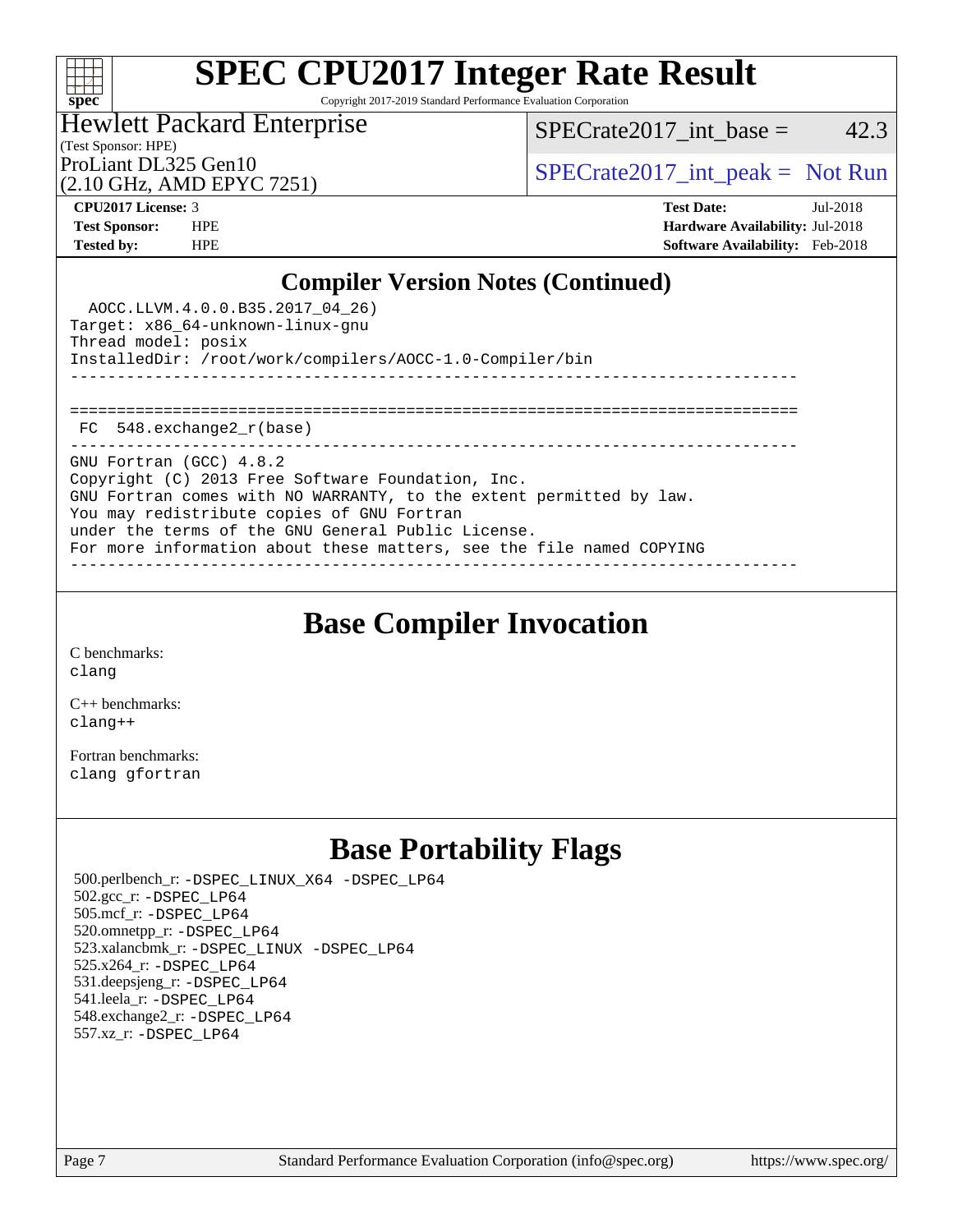

Copyright 2017-2019 Standard Performance Evaluation Corporation

### (Test Sponsor: HPE) Hewlett Packard Enterprise

 $SPECTate2017\_int\_base = 42.3$ 

(2.10 GHz, AMD EPYC 7251)

ProLiant DL325 Gen10  $SPECTA 2017$ \_int\_peak = Not Run

**[CPU2017 License:](http://www.spec.org/auto/cpu2017/Docs/result-fields.html#CPU2017License)** 3 **[Test Date:](http://www.spec.org/auto/cpu2017/Docs/result-fields.html#TestDate)** Jul-2018 **[Test Sponsor:](http://www.spec.org/auto/cpu2017/Docs/result-fields.html#TestSponsor)** HPE **[Hardware Availability:](http://www.spec.org/auto/cpu2017/Docs/result-fields.html#HardwareAvailability)** Jul-2018 **[Tested by:](http://www.spec.org/auto/cpu2017/Docs/result-fields.html#Testedby)** HPE **[Software Availability:](http://www.spec.org/auto/cpu2017/Docs/result-fields.html#SoftwareAvailability)** Feb-2018

## **[Compiler Version Notes \(Continued\)](http://www.spec.org/auto/cpu2017/Docs/result-fields.html#CompilerVersionNotes)**

| AOCC.LLVM.4.0.0.B35.2017 04 26)<br>Target: x86 64-unknown-linux-gnu<br>Thread model: posix<br>InstalledDir: /root/work/compilers/AOCC-1.0-Compiler/bin                                                                                                                                                                          |
|---------------------------------------------------------------------------------------------------------------------------------------------------------------------------------------------------------------------------------------------------------------------------------------------------------------------------------|
| FC 548.exchange2 r(base)                                                                                                                                                                                                                                                                                                        |
| GNU Fortran (GCC) 4.8.2<br>Copyright (C) 2013 Free Software Foundation, Inc.<br>GNU Fortran comes with NO WARRANTY, to the extent permitted by law.<br>You may redistribute copies of GNU Fortran<br>under the terms of the GNU General Public License.<br>For more information about these matters, see the file named COPYING |

**[Base Compiler Invocation](http://www.spec.org/auto/cpu2017/Docs/result-fields.html#BaseCompilerInvocation)**

[C benchmarks](http://www.spec.org/auto/cpu2017/Docs/result-fields.html#Cbenchmarks): [clang](http://www.spec.org/cpu2017/results/res2018q3/cpu2017-20180806-08166.flags.html#user_CCbase_Fclang3)

[C++ benchmarks:](http://www.spec.org/auto/cpu2017/Docs/result-fields.html#CXXbenchmarks) [clang++](http://www.spec.org/cpu2017/results/res2018q3/cpu2017-20180806-08166.flags.html#user_CXXbase_Fclang3_57a48582e5be507d19b2527b3e7d4f85d9b8669ffc9a8a0dbb9bcf949a918a58bbab411e0c4d14a3922022a3e425a90db94042683824c1806feff4324ca1000d)

[Fortran benchmarks](http://www.spec.org/auto/cpu2017/Docs/result-fields.html#Fortranbenchmarks): [clang](http://www.spec.org/cpu2017/results/res2018q3/cpu2017-20180806-08166.flags.html#user_FCbase_Fclang3) [gfortran](http://www.spec.org/cpu2017/results/res2018q3/cpu2017-20180806-08166.flags.html#user_FCbase_Fgfortran_128c91a56d61ddb07404721e65b8f9498c31a443dacbd3b7f212891090eca86e2d099b520f75b99e9e8ac4fdec01f4d15f0b65e47123ec4c42b0759045731a1f)

## **[Base Portability Flags](http://www.spec.org/auto/cpu2017/Docs/result-fields.html#BasePortabilityFlags)**

 500.perlbench\_r: [-DSPEC\\_LINUX\\_X64](http://www.spec.org/cpu2017/results/res2018q3/cpu2017-20180806-08166.flags.html#b500.perlbench_r_basePORTABILITY_DSPEC_LINUX_X64) [-DSPEC\\_LP64](http://www.spec.org/cpu2017/results/res2018q3/cpu2017-20180806-08166.flags.html#b500.perlbench_r_baseEXTRA_PORTABILITY_DSPEC_LP64) 502.gcc\_r: [-DSPEC\\_LP64](http://www.spec.org/cpu2017/results/res2018q3/cpu2017-20180806-08166.flags.html#suite_baseEXTRA_PORTABILITY502_gcc_r_DSPEC_LP64) 505.mcf\_r: [-DSPEC\\_LP64](http://www.spec.org/cpu2017/results/res2018q3/cpu2017-20180806-08166.flags.html#suite_baseEXTRA_PORTABILITY505_mcf_r_DSPEC_LP64) 520.omnetpp\_r: [-DSPEC\\_LP64](http://www.spec.org/cpu2017/results/res2018q3/cpu2017-20180806-08166.flags.html#suite_baseEXTRA_PORTABILITY520_omnetpp_r_DSPEC_LP64) 523.xalancbmk\_r: [-DSPEC\\_LINUX](http://www.spec.org/cpu2017/results/res2018q3/cpu2017-20180806-08166.flags.html#b523.xalancbmk_r_basePORTABILITY_DSPEC_LINUX) [-DSPEC\\_LP64](http://www.spec.org/cpu2017/results/res2018q3/cpu2017-20180806-08166.flags.html#suite_baseEXTRA_PORTABILITY523_xalancbmk_r_DSPEC_LP64) 525.x264\_r: [-DSPEC\\_LP64](http://www.spec.org/cpu2017/results/res2018q3/cpu2017-20180806-08166.flags.html#suite_baseEXTRA_PORTABILITY525_x264_r_DSPEC_LP64) 531.deepsjeng\_r: [-DSPEC\\_LP64](http://www.spec.org/cpu2017/results/res2018q3/cpu2017-20180806-08166.flags.html#suite_baseEXTRA_PORTABILITY531_deepsjeng_r_DSPEC_LP64) 541.leela\_r: [-DSPEC\\_LP64](http://www.spec.org/cpu2017/results/res2018q3/cpu2017-20180806-08166.flags.html#suite_baseEXTRA_PORTABILITY541_leela_r_DSPEC_LP64) 548.exchange2\_r: [-DSPEC\\_LP64](http://www.spec.org/cpu2017/results/res2018q3/cpu2017-20180806-08166.flags.html#suite_baseEXTRA_PORTABILITY548_exchange2_r_DSPEC_LP64) 557.xz\_r: [-DSPEC\\_LP64](http://www.spec.org/cpu2017/results/res2018q3/cpu2017-20180806-08166.flags.html#suite_baseEXTRA_PORTABILITY557_xz_r_DSPEC_LP64)